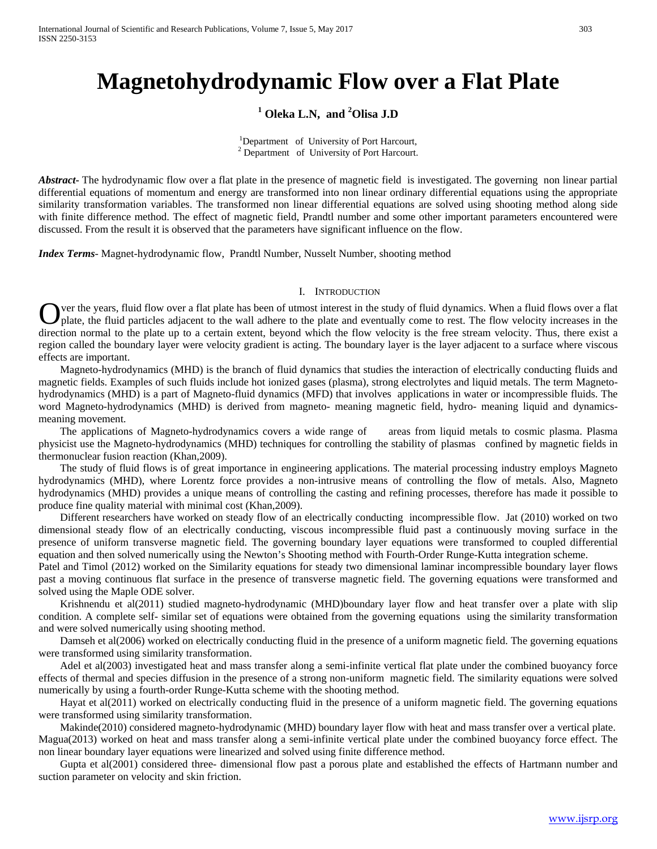# **Magnetohydrodynamic Flow over a Flat Plate**

## **<sup>1</sup> Oleka L.N, and <sup>2</sup> Olisa J.D**

<sup>1</sup>Department of University of Port Harcourt,  $2$  Department of University of Port Harcourt.

*Abstract***-** The hydrodynamic flow over a flat plate in the presence of magnetic field is investigated. The governing non linear partial differential equations of momentum and energy are transformed into non linear ordinary differential equations using the appropriate similarity transformation variables. The transformed non linear differential equations are solved using shooting method along side with finite difference method. The effect of magnetic field, Prandtl number and some other important parameters encountered were discussed. From the result it is observed that the parameters have significant influence on the flow.

*Index Terms*- Magnet-hydrodynamic flow, Prandtl Number, Nusselt Number, shooting method

#### I. INTRODUCTION

ver the years, fluid flow over a flat plate has been of utmost interest in the study of fluid dynamics. When a fluid flows over a flat Over the years, fluid flow over a flat plate has been of utmost interest in the study of fluid dynamics. When a fluid flows over a flat plate, the fluid particles adjacent to the wall adhere to the plate and eventually com direction normal to the plate up to a certain extent, beyond which the flow velocity is the free stream velocity. Thus, there exist a region called the boundary layer were velocity gradient is acting. The boundary layer is the layer adjacent to a surface where viscous effects are important.

 Magneto-hydrodynamics (MHD) is the branch of fluid dynamics that studies the interaction of electrically conducting fluids and magnetic fields. Examples of such fluids include hot ionized gases (plasma), strong electrolytes and liquid metals. The term Magnetohydrodynamics (MHD) is a part of Magneto-fluid dynamics (MFD) that involves applications in water or incompressible fluids. The word Magneto-hydrodynamics (MHD) is derived from magneto- meaning magnetic field, hydro- meaning liquid and dynamicsmeaning movement.

 The applications of Magneto-hydrodynamics covers a wide range of areas from liquid metals to cosmic plasma. Plasma physicist use the Magneto-hydrodynamics (MHD) techniques for controlling the stability of plasmas confined by magnetic fields in thermonuclear fusion reaction (Khan,2009).

 The study of fluid flows is of great importance in engineering applications. The material processing industry employs Magneto hydrodynamics (MHD), where Lorentz force provides a non-intrusive means of controlling the flow of metals. Also, Magneto hydrodynamics (MHD) provides a unique means of controlling the casting and refining processes, therefore has made it possible to produce fine quality material with minimal cost (Khan,2009).

 Different researchers have worked on steady flow of an electrically conducting incompressible flow. Jat (2010) worked on two dimensional steady flow of an electrically conducting, viscous incompressible fluid past a continuously moving surface in the presence of uniform transverse magnetic field. The governing boundary layer equations were transformed to coupled differential equation and then solved numerically using the Newton's Shooting method with Fourth-Order Runge-Kutta integration scheme.

Patel and Timol (2012) worked on the Similarity equations for steady two dimensional laminar incompressible boundary layer flows past a moving continuous flat surface in the presence of transverse magnetic field. The governing equations were transformed and solved using the Maple ODE solver.

 Krishnendu et al(2011) studied magneto-hydrodynamic (MHD)boundary layer flow and heat transfer over a plate with slip condition. A complete self- similar set of equations were obtained from the governing equations using the similarity transformation and were solved numerically using shooting method.

 Damseh et al(2006) worked on electrically conducting fluid in the presence of a uniform magnetic field. The governing equations were transformed using similarity transformation.

 Adel et al(2003) investigated heat and mass transfer along a semi-infinite vertical flat plate under the combined buoyancy force effects of thermal and species diffusion in the presence of a strong non-uniform magnetic field. The similarity equations were solved numerically by using a fourth-order Runge-Kutta scheme with the shooting method.

 Hayat et al(2011) worked on electrically conducting fluid in the presence of a uniform magnetic field. The governing equations were transformed using similarity transformation.

 Makinde(2010) considered magneto-hydrodynamic (MHD) boundary layer flow with heat and mass transfer over a vertical plate. Magua(2013) worked on heat and mass transfer along a semi-infinite vertical plate under the combined buoyancy force effect. The non linear boundary layer equations were linearized and solved using finite difference method.

 Gupta et al(2001) considered three- dimensional flow past a porous plate and established the effects of Hartmann number and suction parameter on velocity and skin friction.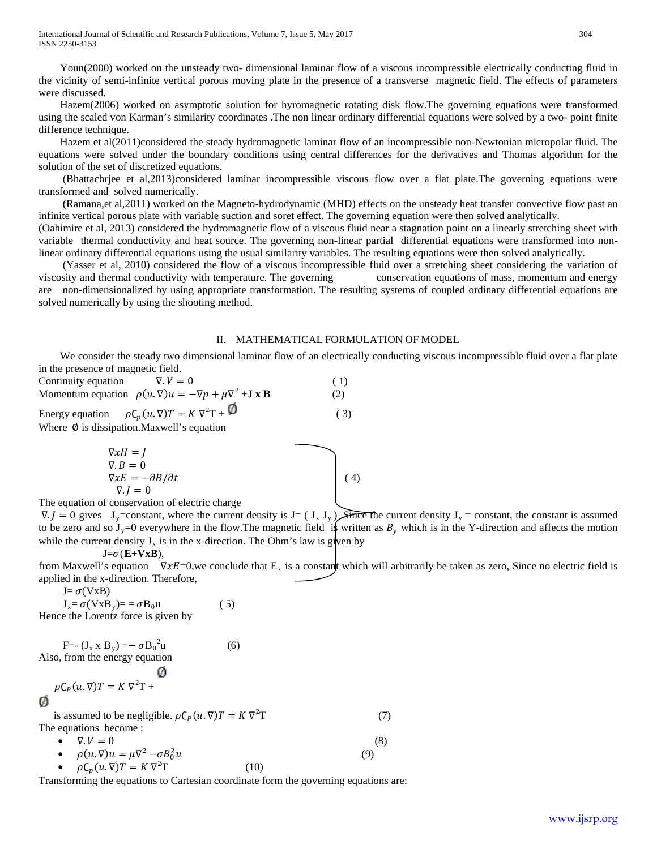Youn(2000) worked on the unsteady two- dimensional laminar flow of a viscous incompressible electrically conducting fluid in the vicinity of semi-infinite vertical porous moving plate in the presence of a transverse magnetic field. The effects of parameters were discussed.

 Hazem(2006) worked on asymptotic solution for hyromagnetic rotating disk flow.The governing equations were transformed using the scaled von Karman's similarity coordinates .The non linear ordinary differential equations were solved by a two- point finite difference technique.

 Hazem et al(2011)considered the steady hydromagnetic laminar flow of an incompressible non-Newtonian micropolar fluid. The equations were solved under the boundary conditions using central differences for the derivatives and Thomas algorithm for the solution of the set of discretized equations.

 (Bhattachrjee et al,2013)considered laminar incompressible viscous flow over a flat plate.The governing equations were transformed and solved numerically.

 (Ramana,et al,2011) worked on the Magneto-hydrodynamic (MHD) effects on the unsteady heat transfer convective flow past an infinite vertical porous plate with variable suction and soret effect. The governing equation were then solved analytically.

(Oahimire et al, 2013) considered the hydromagnetic flow of a viscous fluid near a stagnation point on a linearly stretching sheet with variable thermal conductivity and heat source. The governing non-linear partial differential equations were transformed into nonlinear ordinary differential equations using the usual similarity variables. The resulting equations were then solved analytically.

 (Yasser et al, 2010) considered the flow of a viscous incompressible fluid over a stretching sheet considering the variation of viscosity and thermal conductivity with temperature. The governing conservation equations of mass, momentum and energy are non-dimensionalized by using appropriate transformation. The resulting systems of coupled ordinary differential equations are solved numerically by using the shooting method.

#### II. MATHEMATICAL FORMULATION OF MODEL

 We consider the steady two dimensional laminar flow of an electrically conducting viscous incompressible fluid over a flat plate in the presence of magnetic field.

| Continuity equation | $\nabla V = 0$                                                                                 | (1) |
|---------------------|------------------------------------------------------------------------------------------------|-----|
|                     | Momentum equation $\rho(u, \nabla)u = -\nabla p + \mu \nabla^2 + \mathbf{J} \times \mathbf{B}$ | (2) |
|                     | Energy equation $\rho C_p(u.\nabla)T = K \nabla^2 T + \mathbf{\mathcal{D}}$                    | (3) |
|                     | Where $\phi$ is dissination Maxwell's equation                                                 |     |

re Ø is dissipation.Maxwell's equation

$$
\nabla xH = J
$$
  
\n
$$
\nabla \cdot B = 0
$$
  
\n
$$
\nabla xE = -\partial B/\partial t
$$
  
\n
$$
\nabla \cdot I = 0
$$
\n(4)

 $\nabla J = 0$ The equation of conservation of electric charge

 $\nabla J = 0$  gives  $J_y$ =constant, where the current density is  $J = (J_x J_y)$ . Since the current density  $J_y$  = constant, the constant is assumed to be zero and so J<sub>y</sub>=0 everywhere in the flow. The magnetic field is written as  $B_y$  which is in the Y-direction and affects the motion while the current density  $J_x$  is in the x-direction. The Ohm's law is given by

 $J = \sigma(E+VxB)$ ,

from Maxwell's equation  $\nabla xE=0$ , we conclude that E<sub>x</sub> is a constant which will arbitrarily be taken as zero, Since no electric field is applied in the x-direction. Therefore,

 $J = \sigma(VxB)$ 

 $J_x = \sigma(VxB_y) = \sigma B_0u$  (5) Hence the Lorentz force is given by

F=-  $(J_x \times B_y) = - \sigma B_0^2$  $(6)$ Also, from the energy equation

$$
\rho C_P(u.\nabla)T = K \nabla^2 T +
$$

is assumed to be negligible.  $\rho C_P(u, \nabla) T = K \nabla^2$  $T \tag{7}$ The equations become : •  $\nabla V = 0$  (8)

•  $\rho(u,\nabla)u = \mu \nabla^2 - \sigma B_0^2$  $\int_0^2 u$  (9) •  $\rho C_p(u \cdot \nabla) T = K \nabla^2$  $(10)$ 

Transforming the equations to Cartesian coordinate form the governing equations are: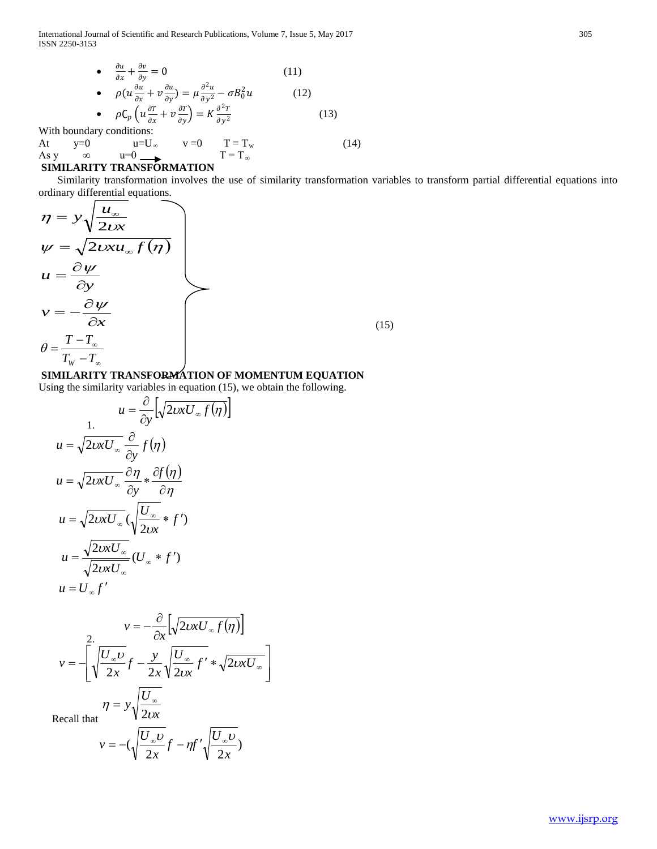International Journal of Scientific and Research Publications, Volume 7, Issue 5, May 2017 305 ISSN 2250-3153

• 
$$
\frac{\partial u}{\partial x} + \frac{\partial v}{\partial y} = 0
$$
 (11)  
\n•  $\rho(u \frac{\partial u}{\partial x} + v \frac{\partial u}{\partial y}) = \mu \frac{\partial^2 u}{\partial y^2} - \sigma B_0^2 u$  (12)  
\n•  $\rho C_p \left( u \frac{\partial T}{\partial x} + v \frac{\partial T}{\partial y} \right) = K \frac{\partial^2 T}{\partial y^2}$  (13)

With boundary conditions:<br>At  $y=0$   $u=U_{\infty}$  $u=0$  u=U<sub>∞</sub> v =0 T = T<sub>w</sub> (14)<br>
∞ u=0 T = T<sub>∞</sub> As y  $\infty$  u=0  $\longrightarrow$  T = T<sub>∞</sub>

## **SIMILARITY TRANSFORMATION**

Similarity transformation involves the use of similarity transformation variables to transform partial differential equations into ordinary differential equations.

$$
\eta = y \sqrt{\frac{u_{\infty}}{2 \omega x}}
$$
\n
$$
\psi = \sqrt{2 \omega x u_{\infty} f(\eta)}
$$
\n
$$
u = \frac{\partial \psi}{\partial y}
$$
\n
$$
v = -\frac{\partial \psi}{\partial x}
$$
\n
$$
\theta = \frac{T - T_{\infty}}{T_{w} - T_{\infty}}
$$
\n(15)

## **SIMILARITY TRANSFORMATION OF MOMENTUM EQUATION**

Using the similarity variables in equation (15), we obtain the following.

$$
u = \frac{\partial}{\partial y} \left[ \sqrt{2vxU_{\infty}f(\eta)} \right]
$$
  
\n
$$
u = \sqrt{2vxU_{\infty}} \frac{\partial}{\partial y} f(\eta)
$$
  
\n
$$
u = \sqrt{2vxU_{\infty}} \frac{\partial \eta}{\partial y} * \frac{\partial f(\eta)}{\partial \eta}
$$
  
\n
$$
u = \sqrt{2vxU_{\infty}} \left( \sqrt{\frac{U_{\infty}}{2vx}} * f' \right)
$$
  
\n
$$
u = \frac{\sqrt{2vxU_{\infty}}}{\sqrt{2vxU_{\infty}}} (U_{\infty} * f')
$$
  
\n
$$
u = U_{\infty} f'
$$

$$
v = -\frac{\partial}{\partial x} \left[ \sqrt{2vxU_{\infty}f(\eta)} \right]
$$

$$
v = -\left[ \sqrt{\frac{U_{\infty}U}{2x}}f - \frac{y}{2x} \sqrt{\frac{U_{\infty}}{2vx}}f' * \sqrt{2vxU_{\infty}} \right]
$$

$$
\eta = y\sqrt{\frac{U_{\infty}}{2vx}}
$$

Recall that  $\sqrt{x^2 + 2}$ 

$$
v = -\left(\sqrt{\frac{U_{\infty}U}{2x}}f - \eta f'\sqrt{\frac{U_{\infty}U}{2x}}\right)
$$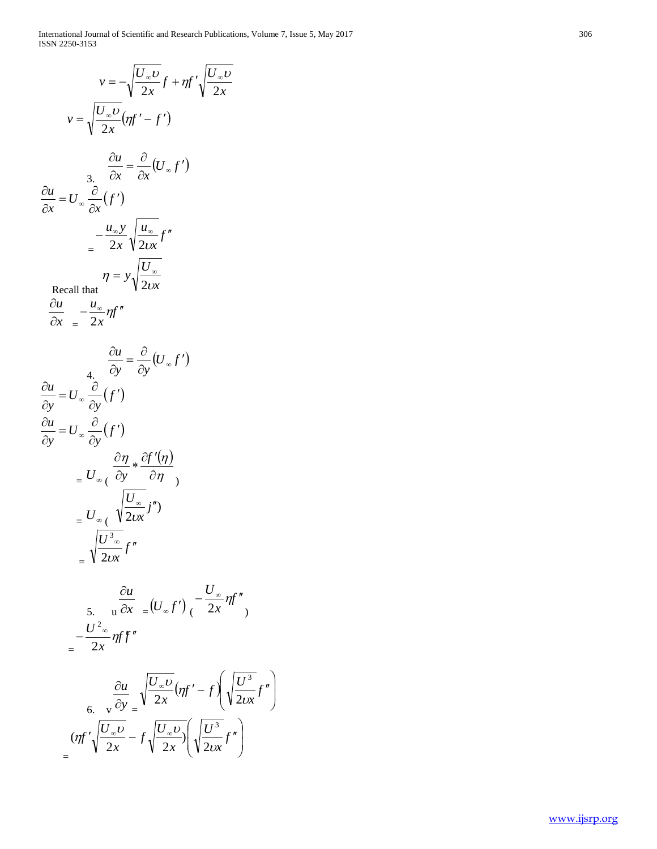$$
v = -\sqrt{\frac{U_{\infty}U}{2x}}f + \eta f' \sqrt{\frac{U_{\infty}U}{2x}}
$$
  
\n
$$
v = \sqrt{\frac{U_{\infty}U}{2x}}(\eta f' - f')
$$
  
\n
$$
\frac{\partial u}{\partial x} = U_{\infty} \frac{\partial}{\partial x}(f')
$$
  
\n
$$
\frac{\partial u}{\partial x} = U_{\infty} \frac{\partial}{\partial x}(f')
$$
  
\n
$$
= \frac{u_{\infty}y}{2x} \sqrt{\frac{u_{\infty}}{2ux}}f''
$$
  
\n
$$
= \frac{1}{2x} \sqrt{\frac{U_{\infty}}{2ux}}
$$
  
\nRecall that  
\n
$$
\frac{\partial u}{\partial x} = -\frac{u_{\infty}}{2x} \eta f''
$$
  
\n
$$
\frac{\partial u}{\partial y} = \frac{\partial}{\partial y}(U_{\infty}f')
$$
  
\n
$$
\frac{\partial u}{\partial y} = U_{\infty} \frac{\partial}{\partial y}(f')
$$
  
\n
$$
\frac{\partial u}{\partial y} = U_{\infty} \frac{\partial}{\partial y}(f')
$$
  
\n
$$
= U_{\infty} \left(\frac{\partial \eta}{\partial x} + \frac{\partial f'(\eta)}{\partial \eta}\right)
$$
  
\n
$$
= U_{\infty} \left(\frac{\partial U_{\infty}}{\partial x}f''\right)
$$
  
\n
$$
= \sqrt{\frac{U_{\infty}U}{2ux}}f''
$$
  
\n
$$
= \sqrt{\frac{U_{\infty}U}{2ux}}f''
$$
  
\n
$$
= \frac{U_{\infty}^2}{2x} \eta f f''
$$
  
\n
$$
= \frac{U_{\infty}^2}{2x} \eta f \frac{U_{\infty}U}{2x} (\eta f' - f) \left(\sqrt{\frac{U_{\infty}^3}{2ux}}f''\right)
$$
  
\n
$$
= \frac{(\eta f') \frac{U_{\infty}U}{2x} - f \sqrt{\frac{U_{\infty}U}{2x}} \left(\sqrt{\frac{U_{\infty}^3}{2ux}}f''\right)
$$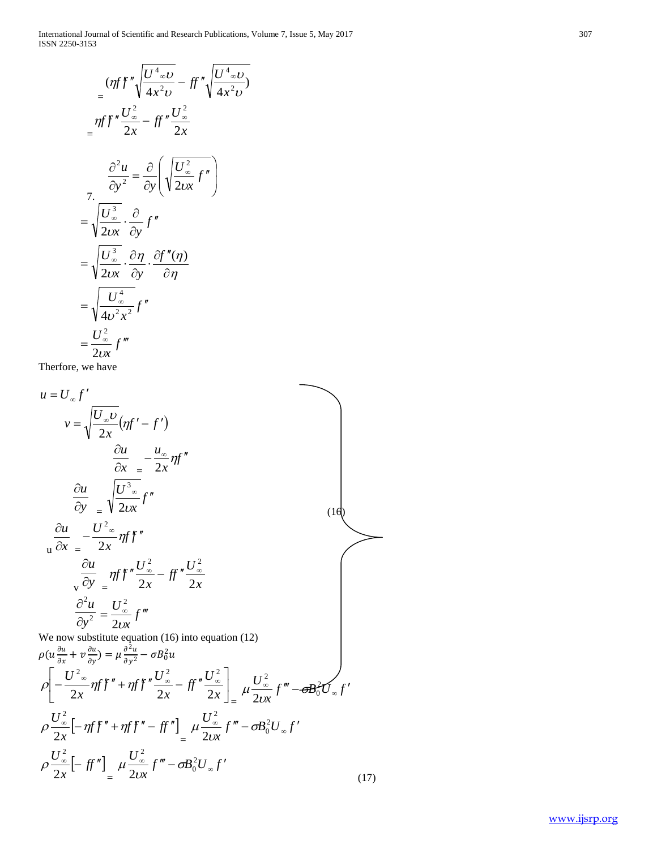)

$$
\begin{aligned}\n&= \left(\eta f'' \sqrt{\frac{U^4}{4x^2}v} - f'' \sqrt{\frac{U^4}{4x^2}v}\right) \\
&= \eta f'' \frac{U_{\infty}^2}{2x} - f f'' \frac{U_{\infty}^2}{2x} \\
&= \frac{\partial^2 u}{\partial y^2} = \frac{\partial}{\partial y} \left(\sqrt{\frac{U_{\infty}^2}{20x}} f''\right) \\
&= \sqrt{\frac{U_{\infty}^3}{20x}} \cdot \frac{\partial}{\partial y} f'' \\
&= \sqrt{\frac{U_{\infty}^3}{20x}} \cdot \frac{\partial \eta}{\partial y} \cdot \frac{\partial f''(\eta)}{\partial \eta} \\
&= \sqrt{\frac{U_{\infty}^4}{4v^2 x^2}} f'' \\
&= \frac{U_{\infty}^2}{2v x} f'''\n\end{aligned}
$$

Therfore, we have

$$
u = U_{\infty} f'
$$
  
\n
$$
v = \sqrt{\frac{U_{\infty}U}{2x}} (\eta f' - f')
$$
  
\n
$$
\frac{\partial u}{\partial x} = -\frac{u_{\infty}}{2x} \eta f''
$$
  
\n
$$
\frac{\partial u}{\partial y} = \sqrt{\frac{U_{\infty}^{3}}{2ux}} f''
$$
  
\n
$$
\frac{\partial u}{\partial y} = \frac{U_{\infty}^{2}}{2x} \eta f' f''
$$
  
\n
$$
\frac{\partial u}{\partial y} = \frac{U_{\infty}^{2}}{2x} \eta f'' - \frac{U_{\infty}^{2}}{2x}
$$
  
\n
$$
\frac{\partial^{2} u}{\partial y^{2}} = \frac{U_{\infty}^{2}}{2vx} f'''
$$
  
\nWe now substitute equation (16) into equation (12)  
\n
$$
\rho(u \frac{\partial u}{\partial x} + v \frac{\partial u}{\partial y}) = \mu \frac{\partial^{2} u}{\partial y^{2}} - \sigma B_{0}^{2} u
$$
  
\n
$$
\rho \left[ -\frac{U_{\infty}^{2}}{2x} \eta f' + \eta f f'' - \frac{U_{\infty}^{2}}{2x} - \frac{1}{2} \eta' \frac{U_{\infty}^{2}}{2x} \right]_{\infty} \mu \frac{U_{\infty}^{2}}{2vx} f''' - \sigma B_{0}^{2} U_{\infty} f'
$$
  
\n
$$
\rho \frac{U_{\infty}^{2}}{2x} [- \eta f f'' + \eta f f'' - \frac{1}{2} \eta' \frac{U_{\infty}^{2}}{2vx} f''' - \sigma B_{0}^{2} U_{\infty} f'
$$
  
\n
$$
\rho \frac{U_{\infty}^{2}}{2x} [- \frac{1}{2} \eta' \frac{U_{\infty}^{2}}{2vx} f''' - \sigma B_{0}^{2} U_{\infty} f'
$$
  
\n(17)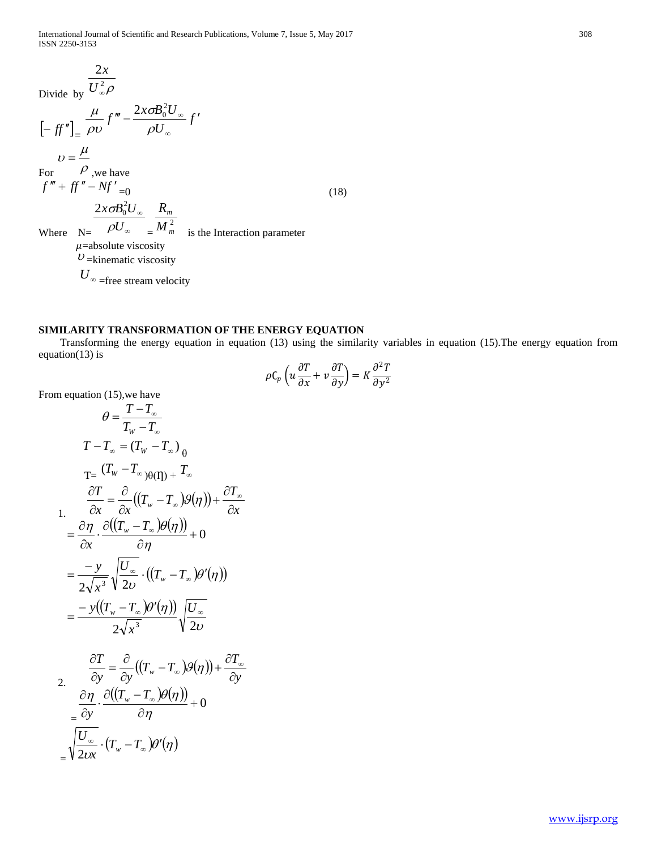Divide by 
$$
\frac{2x}{U_{\infty}^2 \rho}
$$
  
\n
$$
\left[-\int f''\right]_{=} \frac{\mu}{\rho v} f''' - \frac{2x \sigma B_0^2 U_{\infty}}{\rho U_{\infty}} f'
$$
  
\n
$$
v = \frac{\mu}{\rho}
$$
  
\nFor  $\rho$ , we have  
\n
$$
f''' + ff'' - Nf'_{=0}
$$
  
\n
$$
\frac{2x \sigma B_0^2 U_{\infty}}{\rho U_{\infty}} = \frac{R_m}{M_m^2}
$$
  
\nWhere  $N = \frac{2x \sigma B_0^2 U_{\infty}}{\rho U_{\infty}} = \frac{M_m^2}{M_m^2}$  is the interaction parameter  
\n $\mu$ =absolute viscosity  
\n $U$ =kinematic viscosity

 $U_{\infty}$  =free stream velocity

#### **SIMILARITY TRANSFORMATION OF THE ENERGY EQUATION**

 Transforming the energy equation in equation (13) using the similarity variables in equation (15).The energy equation from equation(13) is

$$
\rho C_p \left( u \frac{\partial T}{\partial x} + v \frac{\partial T}{\partial y} \right) = K \frac{\partial^2 T}{\partial y^2}
$$

From equation (15),we have

$$
\theta = \frac{T - T_{\infty}}{T_{w} - T_{\infty}}
$$
\n
$$
T - T_{\infty} = (T_{w} - T_{\infty})_{\theta}
$$
\n
$$
T = \frac{(T_{w} - T_{\infty})_{\theta(1)}}{\partial x} + \frac{\partial T}{\partial x} = \frac{\partial}{\partial x}((T_{w} - T_{\infty})g(\eta)) + \frac{\partial T_{\infty}}{\partial x}
$$
\n
$$
= \frac{\partial \eta}{\partial x} \cdot \frac{\partial((T_{w} - T_{\infty})g(\eta))}{\partial \eta} + 0
$$
\n
$$
= \frac{-y}{2\sqrt{x^{3}}} \sqrt{\frac{U_{\infty}}{2\nu}} \cdot ((T_{w} - T_{\infty})g'(\eta))
$$
\n
$$
= \frac{-y((T_{w} - T_{\infty})g'(\eta))}{2\sqrt{x^{3}}} \sqrt{\frac{U_{\infty}}{2\nu}}
$$
\n
$$
\frac{\partial T}{\partial y} = \frac{\partial}{\partial y}((T_{w} - T_{\infty})g(\eta)) + \frac{\partial T_{\infty}}{\partial y}
$$
\n
$$
= \frac{\partial T}{\partial y} \cdot \frac{\partial T}{\partial y} = \frac{\partial T}{\partial y} \cdot \frac{\partial T}{\partial y} = \frac{\partial T}{\partial y} \cdot \frac{\partial T}{\partial y} = \frac{\partial T}{\partial y} \cdot \frac{\partial T}{\partial y} = \frac{\partial T}{\partial y} \cdot \frac{\partial T}{\partial y} = \frac{\partial T}{\partial y} \cdot \frac{\partial T}{\partial y} = \frac{\partial T}{\partial y} \cdot \frac{\partial T}{\partial y} = \frac{\partial T}{\partial y} \cdot \frac{\partial T}{\partial y} = \frac{\partial T}{\partial y} \cdot \frac{\partial T}{\partial y} = \frac{\partial T}{\partial y} \cdot \frac{\partial T}{\partial y} = \frac{\partial T}{\partial y} \cdot \frac{\partial T}{\partial y} = \frac{\partial T}{\partial y} \cdot \frac{\partial T}{\partial y} = \frac{\partial T}{\partial y} \cdot \frac{\partial T}{\partial y} = \frac{\partial T}{\partial y} \cdot \frac{\partial T}{\partial y} = \frac{\partial T}{\partial y} \cdot \frac{\partial T}{\partial y} = \frac{\partial T}{\partial y} \cdot \frac{\partial T}{\partial y} = \frac{\partial T}{\partial y} \
$$

$$
\dfrac{\dfrac{\partial \eta}{\partial y}\cdot\dfrac{\partial ((T_w-T_\infty)\theta(\eta))}{\partial \eta}+0}{\dfrac{\big|U_{\infty}}{2\text{dx}}\cdot (T_w-T_\infty)\theta'(\eta)}
$$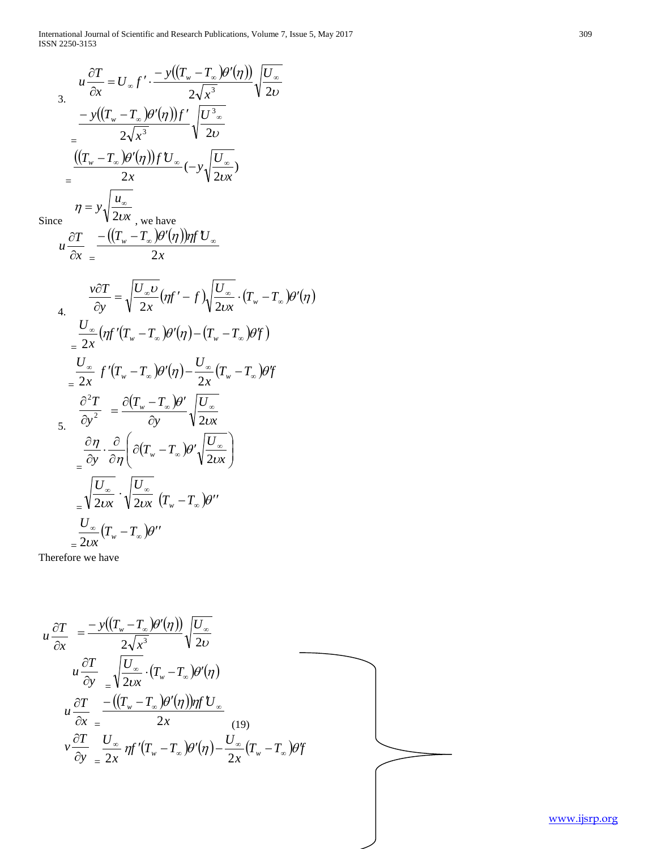International Journal of Scientific and Research Publications, Volume 7, Issue 5, May 2017 309 ISSN 2250 -3153

3. 
$$
u \frac{\partial T}{\partial x} = U_{\infty} f' \cdot \frac{-y((T_{w} - T_{\infty})\theta'(\eta))}{2\sqrt{x^{3}}} \sqrt{\frac{U_{\infty}}{2\nu}}
$$
  
\n
$$
= \frac{-y((T_{w} - T_{\infty})\theta'(\eta))f'}{2\sqrt{x^{3}}} \sqrt{\frac{U_{\infty}^{3}}{2\nu}}
$$
  
\n
$$
= \frac{((T_{w} - T_{\infty})\theta'(\eta))fU_{\infty}}{2x} (-y\sqrt{\frac{U_{\infty}}{2\nu x}})
$$
  
\nSince 
$$
u \frac{\partial T}{\partial x} = \frac{-(\frac{(T_{w} - T_{\infty})\theta'(\eta))\eta fU_{\infty}}{2x}
$$
  
\n
$$
u \frac{\partial T}{\partial y} = \sqrt{\frac{U_{\infty}U}{2x}}(\eta f' - f)\sqrt{\frac{U_{\infty}}{2\nu x}} \cdot (T_{w} - T_{\infty})\theta'(\eta)
$$
  
\n4. 
$$
\frac{U_{\infty}}{\partial y} \left(\eta f'(T_{w} - T_{\infty})\theta'(\eta) - (T_{w} - T_{\infty})\theta' f\right)
$$
  
\n
$$
= \frac{U_{\infty}}{2x} f'(T_{w} - T_{\infty})\theta'(\eta) - \frac{U_{\infty}}{2x} (T_{w} - T_{\infty})\theta f
$$
  
\n5. 
$$
\frac{\partial T}{\partial y^{2}} = \frac{\partial (T_{w} - T_{\infty})\theta'}{\partial y} \sqrt{\frac{U_{\infty}}{2\nu x}}
$$
  
\n
$$
= \frac{\partial T}{\partial y} \cdot \frac{\partial}{\partial \eta} \left(\frac{\partial (T_{w} - T_{\infty})\theta'}{\partial y}\right) \frac{\partial U_{\infty}}{\partial z}
$$
  
\n
$$
= \sqrt{\frac{U_{\infty}}{2\nu x}} \cdot \sqrt{\frac{U_{\infty}}{2\nu x}} (T_{w} - T_{\infty})\theta''
$$
  
\n
$$
= \frac{U_{\infty}}{2\nu x} (T_{w} - T_{\infty})\theta''
$$

Therefore we have

$$
u \frac{\partial T}{\partial x} = \frac{-y((T_w - T_\infty)\theta'(\eta))}{2\sqrt{x^3}} \sqrt{\frac{U_\infty}{2\nu}}
$$
  
\n
$$
u \frac{\partial T}{\partial y} = \sqrt{\frac{U_\infty}{2\nu x}} \cdot (T_w - T_\infty)\theta'(\eta)
$$
  
\n
$$
u \frac{\partial T}{\partial x} = \frac{-(\frac{(T_w - T_\infty)\theta'(\eta))\eta f U_\infty}{2x}}{2x}
$$
  
\n
$$
v \frac{\partial T}{\partial y} = \frac{U_\infty}{2x} \eta f'(T_w - T_\infty)\theta'(\eta) - \frac{U_\infty}{2x}(T_w - T_\infty)\theta' f
$$

[www.ijsrp.org](http://ijsrp.org/)

 $\overline{\phantom{0}}$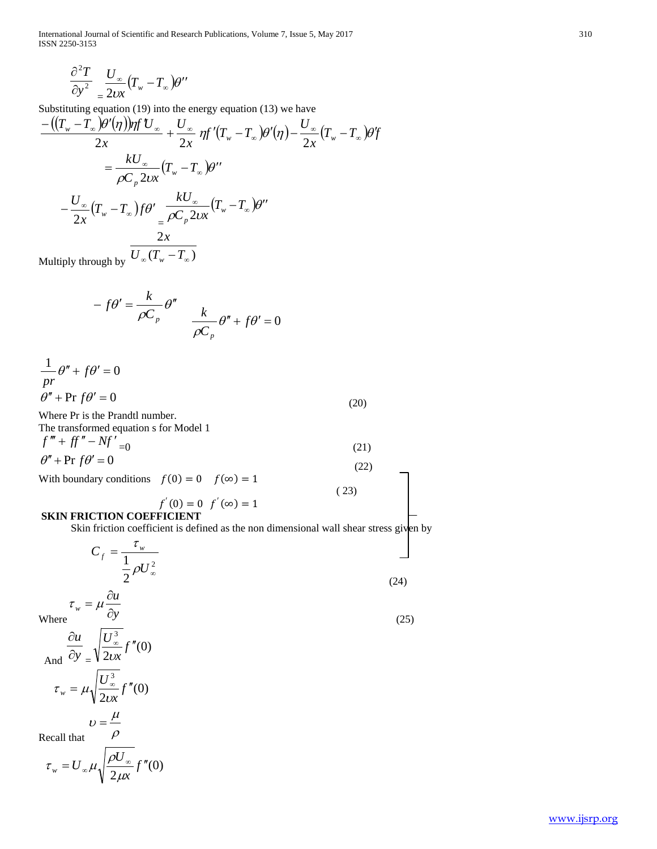International Journal of Scientific and Research Publications, Volume 7, Issue 5, May 2017 310 ISSN 2250-3153

$$
\frac{\partial^2 T}{\partial y^2} \frac{U_{\infty}}{\Delta x} (T_w - T_{\infty}) \theta''
$$

Substituting equation (19) into the energy equation (13) we have

$$
\frac{-((T_w - T_\infty)\theta'(\eta))\eta f'U_\infty}{2x} + \frac{U_\infty}{2x} \eta f'(T_w - T_\infty)\theta'(\eta) - \frac{U_\infty}{2x}(T_w - T_\infty)\theta' \eta
$$

$$
= \frac{kU_\infty}{\rho C_p 2\iota x}(T_w - T_\infty)\theta''
$$

$$
- \frac{U_\infty}{2x}(T_w - T_\infty)f\theta' = \frac{kU_\infty}{\rho C_p 2\iota x}(T_w - T_\infty)\theta''
$$

Multiply through by  $U_{\infty}(T_{w}-T_{\infty})$ 

$$
-f\theta' = \frac{k}{\rho C_p} \theta'' \frac{k}{\rho C_p} \theta'' + f\theta' = 0
$$

$$
\frac{1}{pr}\theta'' + f\theta' = 0
$$
  

$$
\theta'' + \Pr f\theta' = 0
$$
 (20)

Where Pr is the Prandtl number.

The transformed equation s for Model 1  $f''' + ff'' - Nf' = 0$  (21)  $\theta'' + \Pr f \theta' = 0$  (22)

With boundary conditions  $f(0) = 0$   $f(\infty) = 1$ 

$$
f'(0) = 0 \t f'(\infty) = 1 \t(23)
$$

**SKIN FRICTION COEFFICIENT**

Skin friction coefficient is defined as the non dimensional wall shear stress given by

$$
C_f = \frac{\tau_w}{\frac{1}{2}\rho U_{\infty}^2}
$$
 (24)

(25)

Where  $\partial y$ 

And 
$$
\frac{\partial u}{\partial y} = \sqrt{\frac{U_{\infty}^3}{2vx}} f''(0)
$$
  

$$
\tau_w = \mu \sqrt{\frac{U_{\infty}^3}{2vx}} f''(0)
$$

*<sup>w</sup>* ∂

 $v = \frac{\mu}{\sigma}$ 

Recall that 
$$
\rho
$$

$$
\tau_{w} = U_{\infty} \mu \sqrt{\frac{\rho U_{\infty}}{2 \mu x}} f''(0)
$$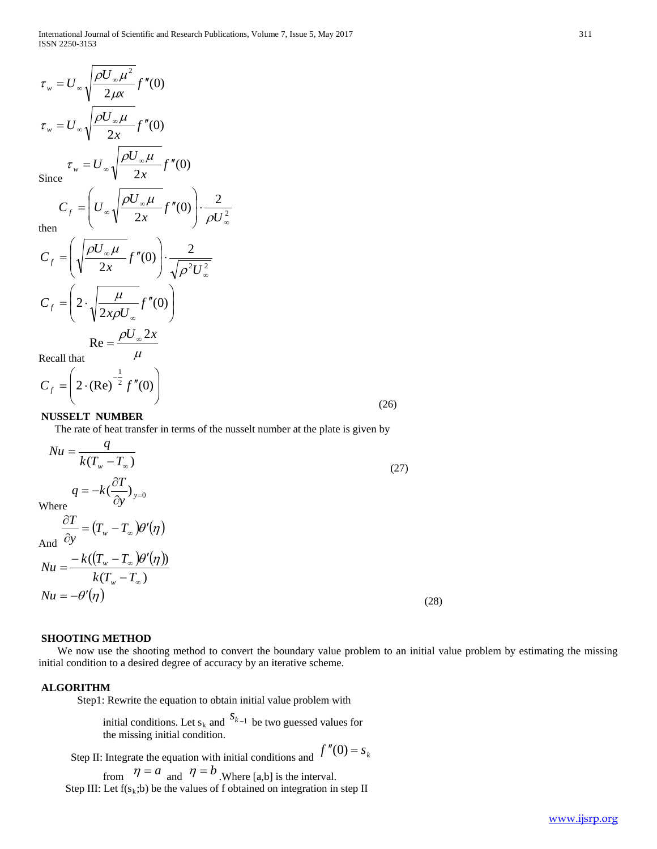$$
\tau_{w} = U_{\infty} \sqrt{\frac{\rho U_{\infty} \mu^{2}}{2\mu x}} f''(0)
$$
\n
$$
\tau_{w} = U_{\infty} \sqrt{\frac{\rho U_{\infty} \mu}{2x}} f''(0)
$$
\nSince\n
$$
\tau_{w} = U_{\infty} \sqrt{\frac{\rho U_{\infty} \mu}{2x}} f''(0)
$$
\n
$$
C_{f} = \left( U_{\infty} \sqrt{\frac{\rho U_{\infty} \mu}{2x}} f''(0) \right) \cdot \frac{2}{\rho U_{\infty}^{2}}
$$
\nthen\n
$$
C_{f} = \left( \sqrt{\frac{\rho U_{\infty} \mu}{2x}} f''(0) \right) \cdot \frac{2}{\sqrt{\rho^{2} U_{\infty}^{2}}}
$$
\n
$$
C_{f} = \left( 2 \cdot \sqrt{\frac{\mu}{2x\rho U_{\infty}}} f''(0) \right)
$$
\n
$$
\text{Re} = \frac{\rho U_{\infty} 2x}{\sqrt{\frac{\mu}{2x\rho}}}
$$

Recall that  $\mu$ 

$$
C_f = \left(2 \cdot (\text{Re})^{-\frac{1}{2}} f''(0)\right)
$$
\n(26)

#### **NUSSELT NUMBER**

The rate of heat transfer in terms of the nusselt number at the plate is given by

$$
Nu = \frac{q}{k(T_w - T_\infty)}
$$
  
\n
$$
q = -k(\frac{\partial T}{\partial y})_{y=0}
$$
  
\nWhere  
\n
$$
\frac{\partial T}{\partial y} = (T_w - T_\infty)\theta'(\eta)
$$
  
\nAnd  
\n
$$
Nu = \frac{-k((T_w - T_\infty)\theta'(\eta))}{k(T_w - T_\infty)}
$$
  
\n
$$
Nu = -\theta'(\eta)
$$
\n(28)

#### **SHOOTING METHOD**

 We now use the shooting method to convert the boundary value problem to an initial value problem by estimating the missing initial condition to a desired degree of accuracy by an iterative scheme.

#### **ALGORITHM**

Step1: Rewrite the equation to obtain initial value problem with

initial conditions. Let s<sub>k</sub> and  $S_{k-1}$  be two guessed values for the missing initial condition.

Step II: Integrate the equation with initial conditions and  $f''(0) = s_k$ 

from  $\eta = a$  and  $\eta = b$ . Where [a,b] is the interval. Step III: Let  $f(s_k; b)$  be the values of f obtained on integration in step II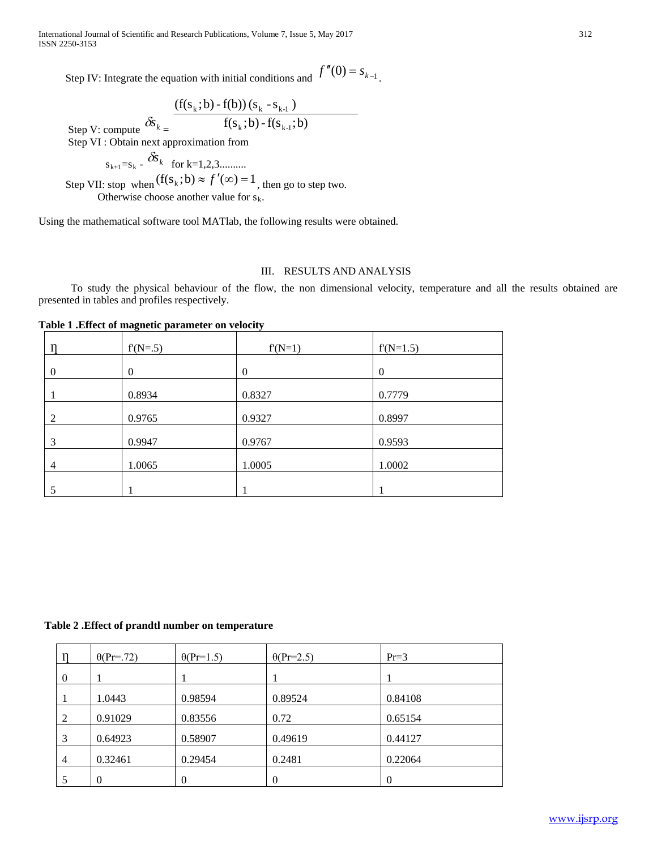International Journal of Scientific and Research Publications, Volume 7, Issue 5, May 2017 312 ISSN 2250-3153

Step IV: Integrate the equation with initial conditions and  $f''(0) = s_{k-1}$ .

Step V: compute  $\delta s_{k}$  = f(s<sub>k</sub>;b)-f(s<sub>k-1</sub>;b)  $(f(s_k; b) - f(b)) (s_k - s_{k-1})$  $k, v/$ -1 $\mathcal{B}_{k-1}$  $k, v \in \mathcal{N}(v)$  ( $v_k \sim_{k-1}$ Step VI : Obtain next approximation from

 $s_{k+1}=s_k - \delta s_k$  for k=1,2,3.......... Step VII: stop when  $(f(s_k; b) \approx f'(\infty)) = 1$ , then go to step two. Otherwise choose another value for  $s_k$ .

Using the mathematical software tool MATlab, the following results were obtained.

#### III. RESULTS AND ANALYSIS

To study the physical behaviour of the flow, the non dimensional velocity, temperature and all the results obtained are presented in tables and profiles respectively.

**Table 1 .Effect of magnetic parameter on velocity**

|                | $f(N=0.5)$       | $f(N=1)$ | $f(N=1.5)$     |
|----------------|------------------|----------|----------------|
| $\theta$       | $\boldsymbol{0}$ | $\theta$ | $\overline{0}$ |
|                | 0.8934           | 0.8327   | 0.7779         |
| 2              | 0.9765           | 0.9327   | 0.8997         |
| 3              | 0.9947           | 0.9767   | 0.9593         |
| $\overline{4}$ | 1.0065           | 1.0005   | 1.0002         |
|                |                  |          |                |
|                |                  |          |                |

**Table 2 .Effect of prandtl number on temperature**

|                | $\theta$ (Pr=.72) | $\theta(\Pr=1.5)$ | $\theta(\text{Pr=2.5})$ | $Pr=3$   |
|----------------|-------------------|-------------------|-------------------------|----------|
| 0              |                   |                   |                         |          |
|                | 1.0443            | 0.98594           | 0.89524                 | 0.84108  |
| 2              | 0.91029           | 0.83556           | 0.72                    | 0.65154  |
| 3              | 0.64923           | 0.58907           | 0.49619                 | 0.44127  |
| $\overline{4}$ | 0.32461           | 0.29454           | 0.2481                  | 0.22064  |
|                | $\Omega$          | $\theta$          | $\Omega$                | $\Omega$ |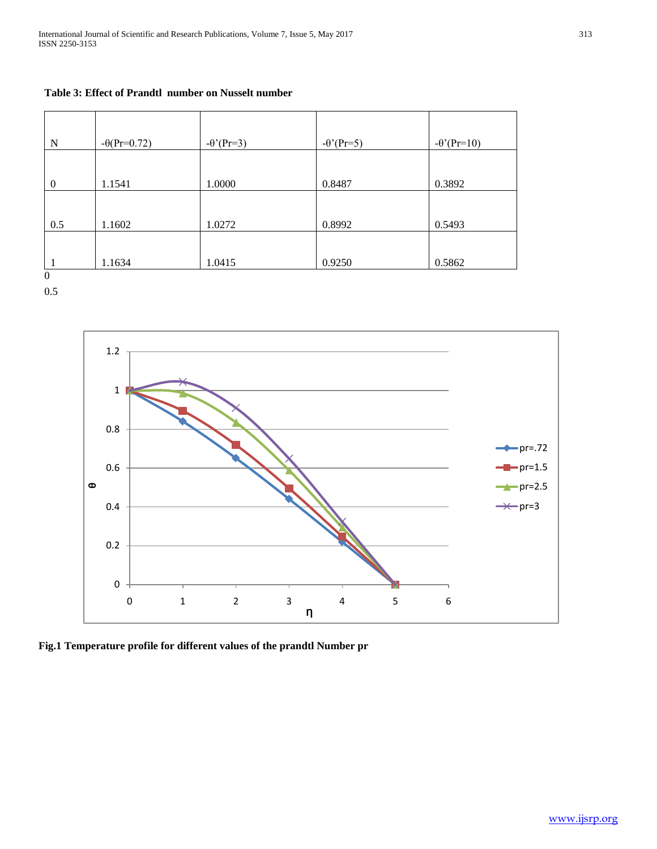### **Table 3: Effect of Prandtl number on Nusselt number**

| N              | $-\theta(Pr=0.72)$ | $-\theta$ '(Pr=3) | $-\theta$ '(Pr=5) | $-\theta'$ (Pr=10) |
|----------------|--------------------|-------------------|-------------------|--------------------|
|                |                    |                   |                   |                    |
| $\overline{0}$ | 1.1541             | 1.0000            | 0.8487            | 0.3892             |
|                |                    |                   |                   |                    |
| 0.5            | 1.1602             | 1.0272            | 0.8992            | 0.5493             |
|                |                    |                   |                   |                    |
| $\sim$         | 1.1634             | 1.0415            | 0.9250            | 0.5862             |

0 0.5

> $F$ ig.2 Temperature profile for different values of the profile for different values of the profile  $\mathcal{L}$ 0 0.2 0.4 0.6 0.8 1 1.2 0 1 2 3 4 5 6 **θ Ƞ**  $\leftarrow$  pr=.72  $-pr=1.5$  $-pr=2.5$  $-pr=3$

**Fig.1 Temperature profile for different values of the prandtl Number pr**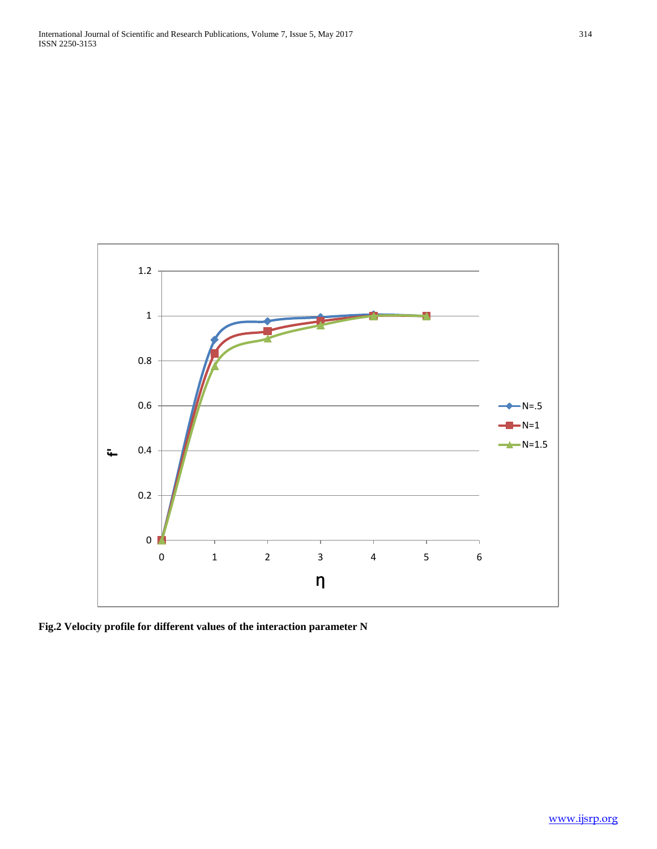

**Fig.2 Velocity profile for different values of the interaction parameter N**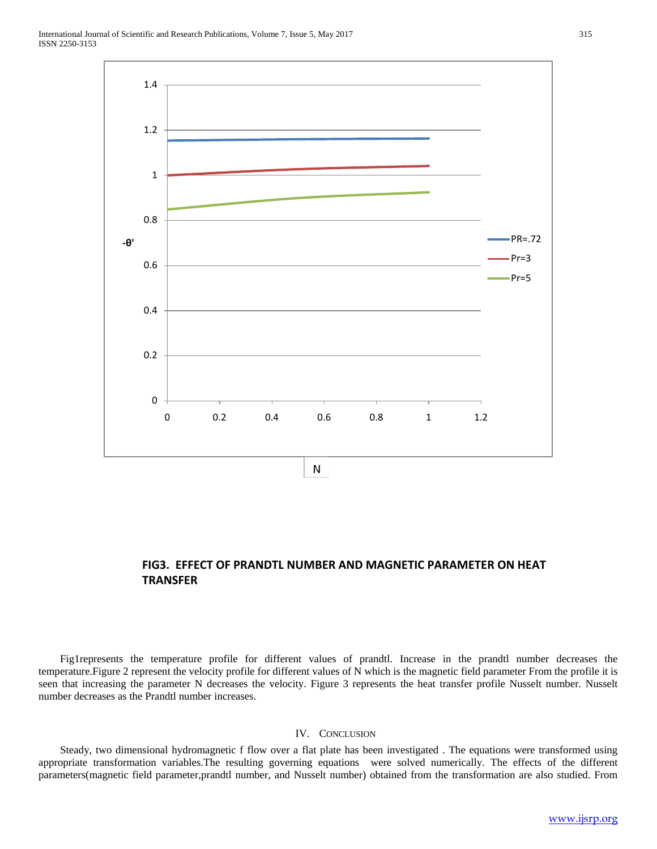

## **FIG3. EFFECT OF PRANDTL NUMBER AND MAGNETIC PARAMETER ON HEAT TRANSFER**

 Fig1represents the temperature profile for different values of prandtl. Increase in the prandtl number decreases the temperature.Figure 2 represent the velocity profile for different values of N which is the magnetic field parameter From the profile it is seen that increasing the parameter N decreases the velocity. Figure 3 represents the heat transfer profile Nusselt number. Nusselt number decreases as the Prandtl number increases.

#### IV. CONCLUSION

 Steady, two dimensional hydromagnetic f flow over a flat plate has been investigated . The equations were transformed using appropriate transformation variables.The resulting governing equations were solved numerically. The effects of the different parameters(magnetic field parameter,prandtl number, and Nusselt number) obtained from the transformation are also studied. From